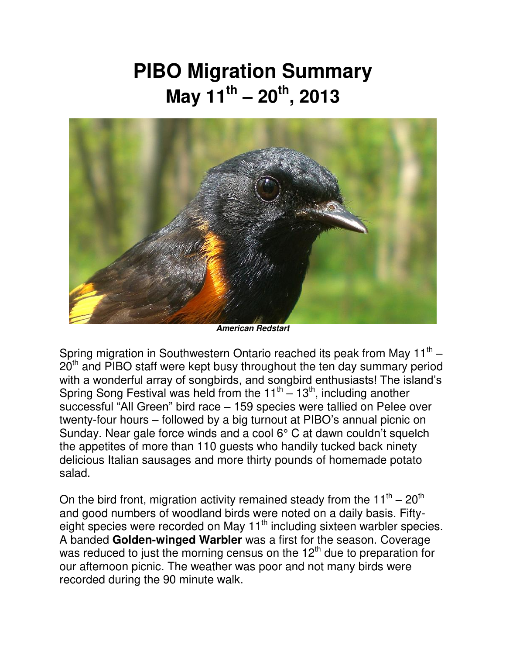## **PIBO Migration Summary May 11th – 20th , 2013**



*American Redstart* 

Spring migration in Southwestern Ontario reached its peak from May 11<sup>th</sup> –  $20<sup>th</sup>$  and PIBO staff were kept busy throughout the ten day summary period with a wonderful array of songbirds, and songbird enthusiasts! The island's Spring Song Festival was held from the  $11^{th} - 13^{th}$ , including another successful "All Green" bird race – 159 species were tallied on Pelee over twenty-four hours – followed by a big turnout at PIBO's annual picnic on Sunday. Near gale force winds and a cool 6° C at dawn couldn't squelch the appetites of more than 110 guests who handily tucked back ninety delicious Italian sausages and more thirty pounds of homemade potato salad.

On the bird front, migration activity remained steady from the 11<sup>th</sup> – 20<sup>th</sup> and good numbers of woodland birds were noted on a daily basis. Fiftyeight species were recorded on May 11<sup>th</sup> including sixteen warbler species. A banded **Golden-winged Warbler** was a first for the season. Coverage was reduced to just the morning census on the 12<sup>th</sup> due to preparation for our afternoon picnic. The weather was poor and not many birds were recorded during the 90 minute walk.